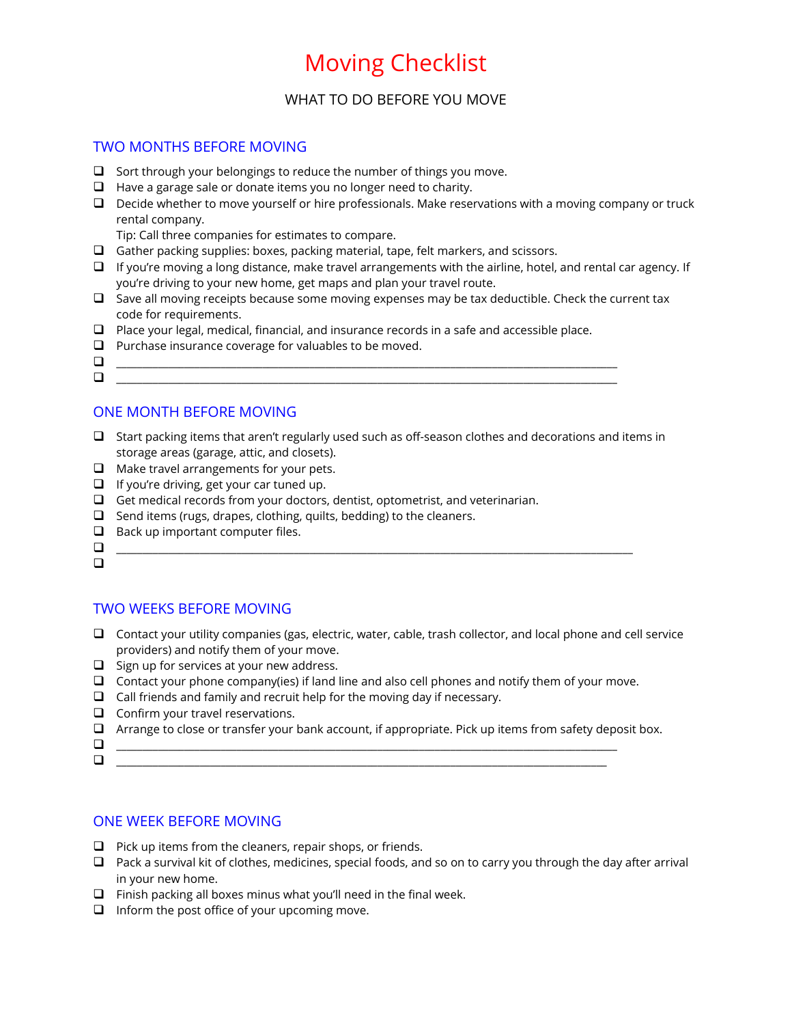# Moving Checklist

## WHAT TO DO BEFORE YOU MOVE

## TWO MONTHS BEFORE MOVING

- $\Box$  Sort through your belongings to reduce the number of things you move.
- $\Box$  Have a garage sale or donate items you no longer need to charity.
- $\Box$  Decide whether to move yourself or hire professionals. Make reservations with a moving company or truck rental company.

Tip: Call three companies for estimates to compare.

- $\Box$  Gather packing supplies: boxes, packing material, tape, felt markers, and scissors.
- $\Box$  If you're moving a long distance, make travel arrangements with the airline, hotel, and rental car agency. If you're driving to your new home, get maps and plan your travel route.
- $\Box$  Save all moving receipts because some moving expenses may be tax deductible. Check the current tax code for requirements.
- $\Box$  Place your legal, medical, financial, and insurance records in a safe and accessible place.
- $\Box$  Purchase insurance coverage for valuables to be moved.
- \_\_\_\_\_\_\_\_\_\_\_\_\_\_\_\_\_\_\_\_\_\_\_\_\_\_\_\_\_\_\_\_\_\_\_\_\_\_\_\_\_\_\_\_\_\_\_\_\_\_\_\_\_\_\_\_\_\_\_\_\_\_\_\_\_\_\_\_\_\_\_\_\_\_\_\_\_\_\_\_\_\_\_\_\_\_\_\_\_\_\_\_\_\_\_\_  $\Box$

## ONE MONTH BEFORE MOVING

- $\Box$  Start packing items that aren't regularly used such as off-season clothes and decorations and items in storage areas (garage, attic, and closets).
- $\Box$  Make travel arrangements for your pets.
- $\Box$  If you're driving, get your car tuned up.
- $\Box$  Get medical records from your doctors, dentist, optometrist, and veterinarian.
- $\Box$  Send items (rugs, drapes, clothing, quilts, bedding) to the cleaners.
- $\Box$  Back up important computer files.
- \_\_\_\_\_\_\_\_\_\_\_\_\_\_\_\_\_\_\_\_\_\_\_\_\_\_\_\_\_\_\_\_\_\_\_\_\_\_\_\_\_\_\_\_\_\_\_\_\_\_\_\_\_\_\_\_\_\_\_\_\_\_\_\_\_\_\_\_\_\_\_\_\_\_\_\_\_\_\_\_\_\_\_\_\_\_\_\_\_\_\_\_\_\_\_\_\_\_\_
- $\Box$

## TWO WEEKS BEFORE MOVING

- $\Box$  Contact your utility companies (gas, electric, water, cable, trash collector, and local phone and cell service providers) and notify them of your move.
- $\Box$  Sign up for services at your new address.
- Contact your phone company(ies) if land line and also cell phones and notify them of your move.
- $\Box$  Call friends and family and recruit help for the moving day if necessary.
- $\Box$  Confirm your travel reservations.
- $\Box$  Arrange to close or transfer your bank account, if appropriate. Pick up items from safety deposit box.
- \_\_\_\_\_\_\_\_\_\_\_\_\_\_\_\_\_\_\_\_\_\_\_\_\_\_\_\_\_\_\_\_\_\_\_\_\_\_\_\_\_\_\_\_\_\_\_\_\_\_\_\_\_\_\_\_\_\_\_\_\_\_\_\_\_\_\_\_\_\_\_\_\_\_\_\_\_\_\_\_\_\_\_\_\_\_\_\_\_\_\_\_\_\_\_\_ \_\_\_\_\_\_\_\_\_\_\_\_\_\_\_\_\_\_\_\_\_\_\_\_\_\_\_\_\_\_\_\_\_\_\_\_\_\_\_\_\_\_\_\_\_\_\_\_\_\_\_\_\_\_\_\_\_\_\_\_\_\_\_\_\_\_\_\_\_\_\_\_\_\_\_\_\_\_\_\_\_\_\_\_\_\_\_\_\_\_\_\_\_\_

### ONE WEEK BEFORE MOVING

- $\Box$  Pick up items from the cleaners, repair shops, or friends.
- $\Box$  Pack a survival kit of clothes, medicines, special foods, and so on to carry you through the day after arrival in your new home.
- $\Box$  Finish packing all boxes minus what you'll need in the final week.
- $\Box$  Inform the post office of your upcoming move.